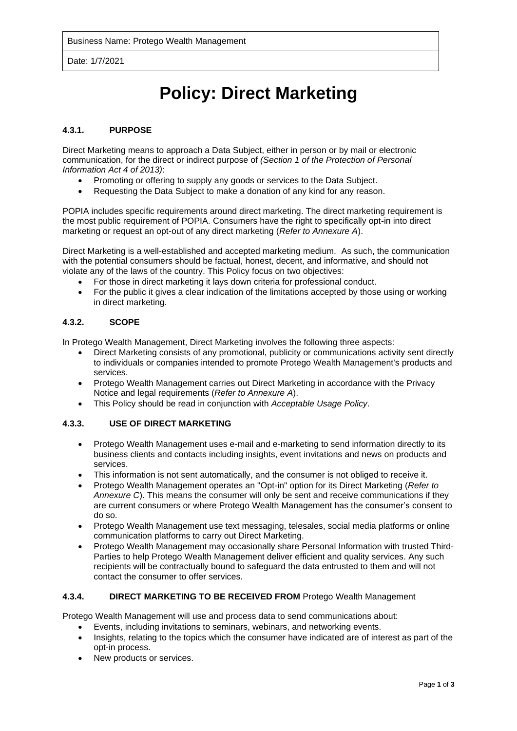Date: 1/7/2021

# **Policy: Direct Marketing**

#### **4.3.1. PURPOSE**

Direct Marketing means to approach a Data Subject, either in person or by mail or electronic communication, for the direct or indirect purpose of *(Section 1 of the Protection of Personal Information Act 4 of 2013)*:

- Promoting or offering to supply any goods or services to the Data Subject.
- Requesting the Data Subject to make a donation of any kind for any reason.

POPIA includes specific requirements around direct marketing. The direct marketing requirement is the most public requirement of POPIA. Consumers have the right to specifically opt-in into direct marketing or request an opt-out of any direct marketing (*Refer to Annexure A*).

Direct Marketing is a well-established and accepted marketing medium. As such, the communication with the potential consumers should be factual, honest, decent, and informative, and should not violate any of the laws of the country. This Policy focus on two objectives:

- For those in direct marketing it lays down criteria for professional conduct.
- For the public it gives a clear indication of the limitations accepted by those using or working in direct marketing.

#### **4.3.2. SCOPE**

In Protego Wealth Management, Direct Marketing involves the following three aspects:

- Direct Marketing consists of any promotional, publicity or communications activity sent directly to individuals or companies intended to promote Protego Wealth Management's products and services.
- Protego Wealth Management carries out Direct Marketing in accordance with the Privacy Notice and legal requirements (*Refer to Annexure A*).
- This Policy should be read in conjunction with *Acceptable Usage Policy*.

### **4.3.3. USE OF DIRECT MARKETING**

- Protego Wealth Management uses e-mail and e-marketing to send information directly to its business clients and contacts including insights, event invitations and news on products and services.
- This information is not sent automatically, and the consumer is not obliged to receive it.
- Protego Wealth Management operates an "Opt-in" option for its Direct Marketing (*Refer to Annexure C*). This means the consumer will only be sent and receive communications if they are current consumers or where Protego Wealth Management has the consumer's consent to do so.
- Protego Wealth Management use text messaging, telesales, social media platforms or online communication platforms to carry out Direct Marketing.
- Protego Wealth Management may occasionally share Personal Information with trusted Third-Parties to help Protego Wealth Management deliver efficient and quality services. Any such recipients will be contractually bound to safeguard the data entrusted to them and will not contact the consumer to offer services.

#### **4.3.4. DIRECT MARKETING TO BE RECEIVED FROM** Protego Wealth Management

Protego Wealth Management will use and process data to send communications about:

- Events, including invitations to seminars, webinars, and networking events.
- Insights, relating to the topics which the consumer have indicated are of interest as part of the opt-in process.
- New products or services.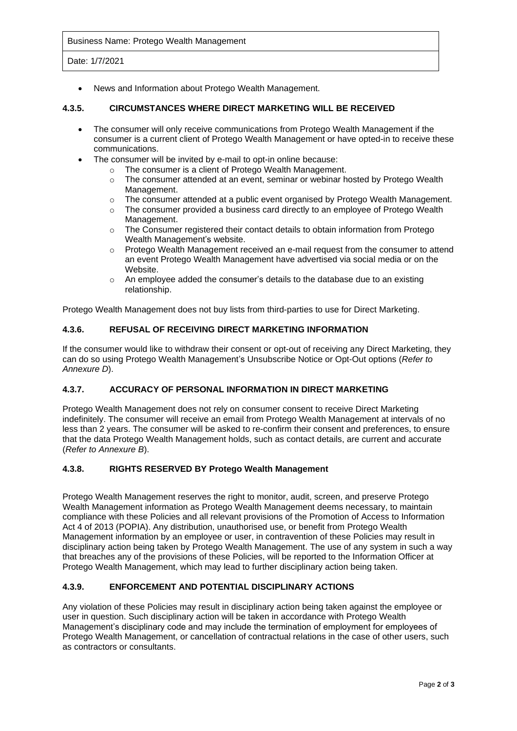Business Name: Protego Wealth Management

Date: 1/7/2021

• News and Information about Protego Wealth Management.

#### **4.3.5. CIRCUMSTANCES WHERE DIRECT MARKETING WILL BE RECEIVED**

- The consumer will only receive communications from Protego Wealth Management if the consumer is a current client of Protego Wealth Management or have opted-in to receive these communications.
- The consumer will be invited by e-mail to opt-in online because:
	- o The consumer is a client of Protego Wealth Management.
	- $\circ$  The consumer attended at an event, seminar or webinar hosted by Protego Wealth Management.
	- $\circ$  The consumer attended at a public event organised by Protego Wealth Management.
	- $\circ$  The consumer provided a business card directly to an employee of Protego Wealth Management.
	- $\circ$  The Consumer registered their contact details to obtain information from Protego Wealth Management's website.
	- o Protego Wealth Management received an e-mail request from the consumer to attend an event Protego Wealth Management have advertised via social media or on the Website.
	- o An employee added the consumer's details to the database due to an existing relationship.

Protego Wealth Management does not buy lists from third-parties to use for Direct Marketing.

#### **4.3.6. REFUSAL OF RECEIVING DIRECT MARKETING INFORMATION**

If the consumer would like to withdraw their consent or opt-out of receiving any Direct Marketing, they can do so using Protego Wealth Management's Unsubscribe Notice or Opt-Out options (*Refer to Annexure D*).

#### **4.3.7. ACCURACY OF PERSONAL INFORMATION IN DIRECT MARKETING**

Protego Wealth Management does not rely on consumer consent to receive Direct Marketing indefinitely. The consumer will receive an email from Protego Wealth Management at intervals of no less than 2 years. The consumer will be asked to re-confirm their consent and preferences, to ensure that the data Protego Wealth Management holds, such as contact details, are current and accurate (*Refer to Annexure B*).

#### **4.3.8. RIGHTS RESERVED BY Protego Wealth Management**

Protego Wealth Management reserves the right to monitor, audit, screen, and preserve Protego Wealth Management information as Protego Wealth Management deems necessary, to maintain compliance with these Policies and all relevant provisions of the Promotion of Access to Information Act 4 of 2013 (POPIA). Any distribution, unauthorised use, or benefit from Protego Wealth Management information by an employee or user, in contravention of these Policies may result in disciplinary action being taken by Protego Wealth Management. The use of any system in such a way that breaches any of the provisions of these Policies, will be reported to the Information Officer at Protego Wealth Management, which may lead to further disciplinary action being taken.

# **4.3.9. ENFORCEMENT AND POTENTIAL DISCIPLINARY ACTIONS**

Any violation of these Policies may result in disciplinary action being taken against the employee or user in question. Such disciplinary action will be taken in accordance with Protego Wealth Management's disciplinary code and may include the termination of employment for employees of Protego Wealth Management, or cancellation of contractual relations in the case of other users, such as contractors or consultants.